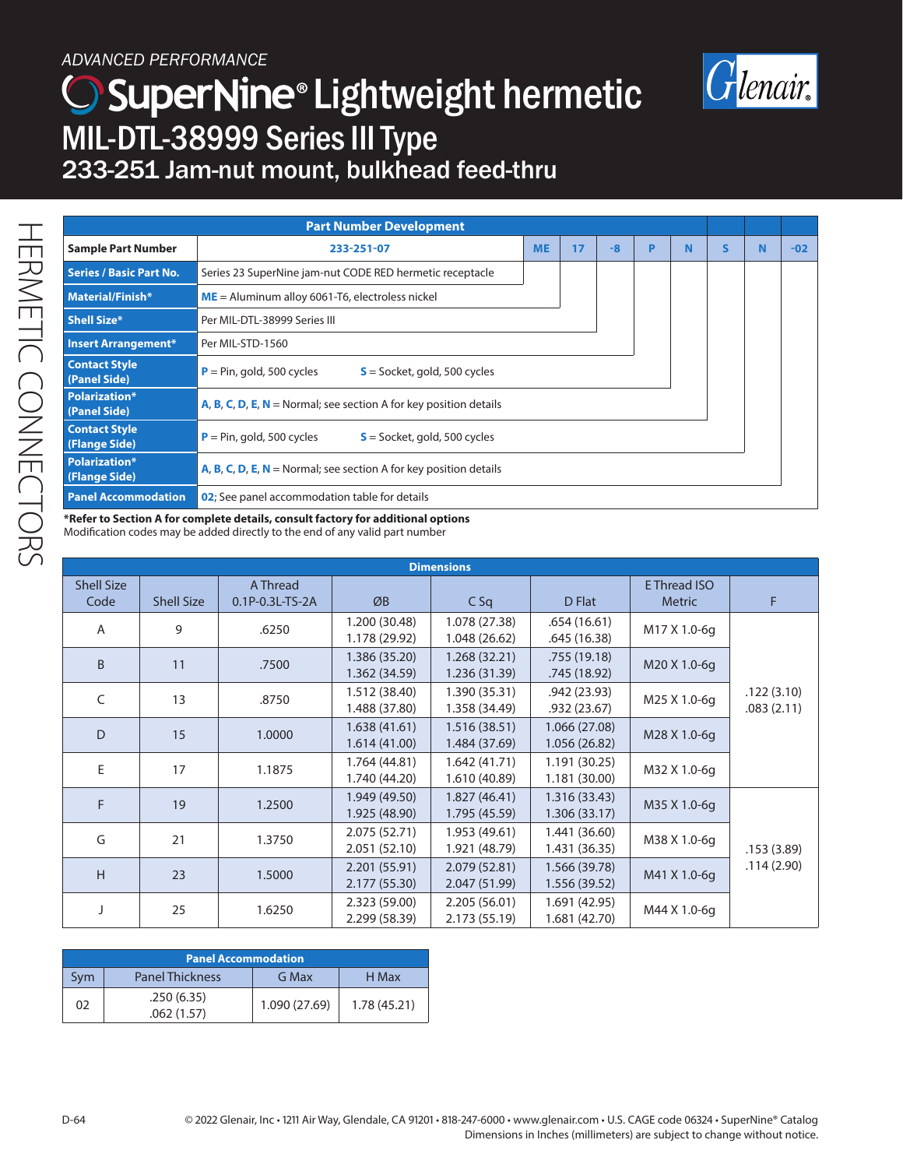## *ADVANCED PERFORMANCE*





| <b>Part Number Development</b>        |                                                                          |           |    |      |   |   |   |   |       |
|---------------------------------------|--------------------------------------------------------------------------|-----------|----|------|---|---|---|---|-------|
| <b>Sample Part Number</b>             | 233-251-07                                                               | <b>ME</b> | 17 | $-8$ | P | N | S | N | $-02$ |
| <b>Series / Basic Part No.</b>        | Series 23 SuperNine jam-nut CODE RED hermetic receptacle                 |           |    |      |   |   |   |   |       |
| Material/Finish*                      | $ME =$ Aluminum alloy 6061-T6, electroless nickel                        |           |    |      |   |   |   |   |       |
| <b>Shell Size*</b>                    | Per MIL-DTL-38999 Series III                                             |           |    |      |   |   |   |   |       |
| <b>Insert Arrangement*</b>            | Per MIL-STD-1560                                                         |           |    |      |   |   |   |   |       |
| <b>Contact Style</b><br>(Panel Side)  | $P = Pin, gold, 500 cycles$<br>$S =$ Socket, gold, 500 cycles            |           |    |      |   |   |   |   |       |
| <b>Polarization*</b><br>(Panel Side)  | A, B, C, D, E, $N =$ Normal; see section A for key position details      |           |    |      |   |   |   |   |       |
| <b>Contact Style</b><br>(Flange Side) | $P = Pin, gold, 500 cycles$<br>$S =$ Socket, gold, 500 cycles            |           |    |      |   |   |   |   |       |
| <b>Polarization*</b><br>(Flange Side) | <b>A, B, C, D, E, N</b> = Normal; see section A for key position details |           |    |      |   |   |   |   |       |
| <b>Panel Accommodation</b>            | 02; See panel accommodation table for details                            |           |    |      |   |   |   |   |       |

**\*Refer to Section A for complete details, consult factory for additional options**  Modification codes may be added directly to the end of any valid part number

| <b>Dimensions</b>         |                   |                             |                                |                                |                                |                                      |                          |
|---------------------------|-------------------|-----------------------------|--------------------------------|--------------------------------|--------------------------------|--------------------------------------|--------------------------|
| <b>Shell Size</b><br>Code | <b>Shell Size</b> | A Thread<br>0.1P-0.3L-TS-2A | ØB                             | CSq                            | D Flat                         | <b>E</b> Thread ISO<br><b>Metric</b> | F                        |
| A                         | 9                 | .6250                       | 1.200 (30.48)<br>1.178 (29.92) | 1.078 (27.38)<br>1.048 (26.62) | .654(16.61)<br>.645 (16.38)    | M17 X 1.0-6g                         |                          |
| <sub>B</sub>              | 11                | .7500                       | 1.386 (35.20)<br>1.362 (34.59) | 1.268 (32.21)<br>1.236 (31.39) | .755 (19.18)<br>.745 (18.92)   | M20 X 1.0-6g                         |                          |
| C                         | 13                | .8750                       | 1.512 (38.40)<br>1.488 (37.80) | 1.390 (35.31)<br>1.358 (34.49) | .942 (23.93)<br>.932 (23.67)   | M25 X 1.0-6q                         | .122(3.10)<br>.083(2.11) |
| D                         | 15                | 1.0000                      | 1.638(41.61)<br>1.614 (41.00)  | 1.516 (38.51)<br>1.484 (37.69) | 1.066 (27.08)<br>1.056 (26.82) | M28 X 1.0-6g                         |                          |
| F                         | 17                | 1.1875                      | 1.764 (44.81)<br>1.740 (44.20) | 1.642 (41.71)<br>1.610 (40.89) | 1.191 (30.25)<br>1.181 (30.00) | M32 X 1.0-6q                         |                          |
| F                         | 19                | 1.2500                      | 1.949 (49.50)<br>1.925 (48.90) | 1.827 (46.41)<br>1.795 (45.59) | 1.316 (33.43)<br>1.306 (33.17) | M35 X 1.0-6q                         |                          |
| G                         | 21                | 1.3750                      | 2.075 (52.71)<br>2.051 (52.10) | 1.953 (49.61)<br>1.921 (48.79) | 1.441 (36.60)<br>1.431 (36.35) | M38 X 1.0-6g                         | .153(3.89)               |
| H                         | 23                | 1.5000                      | 2.201 (55.91)<br>2.177 (55.30) | 2.079 (52.81)<br>2.047 (51.99) | 1.566 (39.78)<br>1.556 (39.52) | M41 X 1.0-6q                         | .114(2.90)               |
|                           | 25                | 1.6250                      | 2.323 (59.00)<br>2.299 (58.39) | 2.205 (56.01)<br>2.173 (55.19) | 1.691 (42.95)<br>1.681 (42.70) | M44 X 1.0-6g                         |                          |

| <b>Panel Accommodation</b> |                          |               |             |  |  |
|----------------------------|--------------------------|---------------|-------------|--|--|
| Svm                        | <b>Panel Thickness</b>   | G Max         | H Max       |  |  |
| 02                         | .250(6.35)<br>.062(1.57) | 1.090 (27.69) | 1.78(45.21) |  |  |